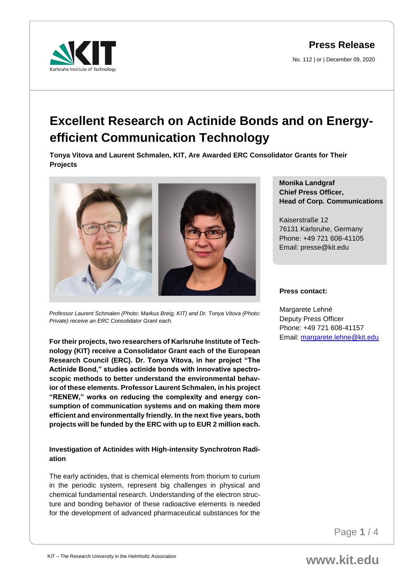No. 112 | or | December 09, 2020



# **Excellent Research on Actinide Bonds and on Energyefficient Communication Technology**

**Tonya Vitova and Laurent Schmalen, KIT, Are Awarded ERC Consolidator Grants for Their Projects**



*Professor Laurent Schmalen (Photo: Markus Breig, KIT) and Dr. Tonya Vitova (Photo: Private) receive an ERC Consolidator Grant each.*

**For their projects, two researchers of Karlsruhe Institute of Technology (KIT) receive a Consolidator Grant each of the European Research Council (ERC). Dr. Tonya Vitova, in her project "The Actinide Bond," studies actinide bonds with innovative spectroscopic methods to better understand the environmental behavior of these elements. Professor Laurent Schmalen, in his project "RENEW," works on reducing the complexity and energy consumption of communication systems and on making them more efficient and environmentally friendly. In the next five years, both projects will be funded by the ERC with up to EUR 2 million each.**

# **Investigation of Actinides with High-intensity Synchrotron Radiation**

The early actinides, that is chemical elements from thorium to curium in the periodic system, represent big challenges in physical and chemical fundamental research. Understanding of the electron structure and bonding behavior of these radioactive elements is needed for the development of advanced pharmaceutical substances for the **Monika Landgraf Chief Press Officer, Head of Corp. Communications**

Kaiserstraße 12 76131 Karlsruhe, Germany Phone: +49 721 608-41105 Email: presse@kit.edu

#### **Press contact:**

Margarete Lehné Deputy Press Officer Phone: +49 721 608-41157 Email: [margarete.lehne@kit.edu](mailto:margarete.lehne@kit.edu)

Page **1** / 4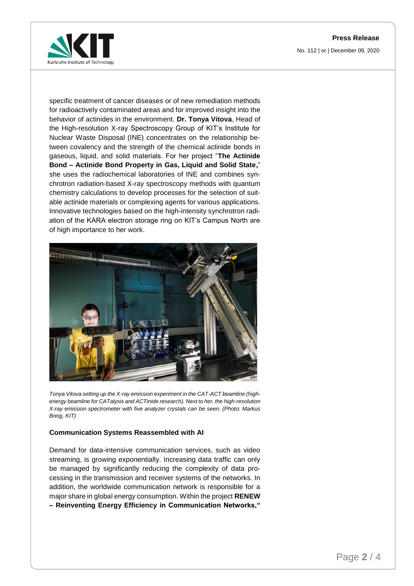No. 112 | or | December 09, 2020



specific treatment of cancer diseases or of new remediation methods for radioactively contaminated areas and for improved insight into the behavior of actinides in the environment. **Dr. Tonya Vitova**, Head of the High-resolution X-ray Spectroscopy Group of KIT's Institute for Nuclear Waste Disposal (INE) concentrates on the relationship between covalency and the strength of the chemical actinide bonds in gaseous, liquid, and solid materials. For her project "**The Actinide Bond – Actinide Bond Property in Gas, Liquid and Solid State,**" she uses the radiochemical laboratories of INE and combines synchrotron radiation-based X-ray spectroscopy methods with quantum chemistry calculations to develop processes for the selection of suitable actinide materials or complexing agents for various applications. Innovative technologies based on the high-intensity synchrotron radiation of the KARA electron storage ring on KIT's Campus North are of high importance to her work.



*Tonya Vitova setting up the X-ray emission experiment in the CAT-ACT beamline (highenergy beamline for CATalysis and ACTinide research). Next to her, the high-resolution X-ray emission spectrometer with five analyzer crystals can be seen. (Photo: Markus Breig, KIT)* 

## **Communication Systems Reassembled with AI**

Demand for data-intensive communication services, such as video streaming, is growing exponentially. Increasing data traffic can only be managed by significantly reducing the complexity of data processing in the transmission and receiver systems of the networks. In addition, the worldwide communication network is responsible for a major share in global energy consumption. Within the project **RENEW – Reinventing Energy Efficiency in Communication Networks,"**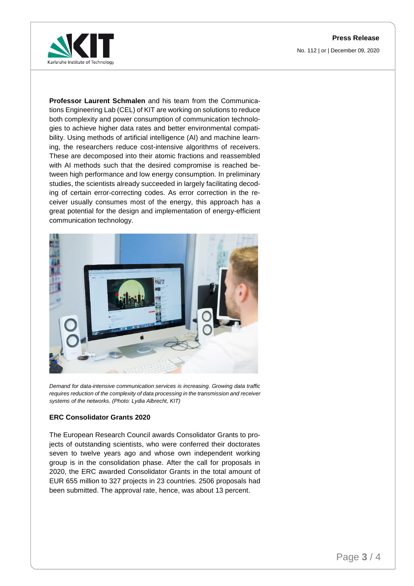No. 112 | or | December 09, 2020



**Professor Laurent Schmalen** and his team from the Communications Engineering Lab (CEL) of KIT are working on solutions to reduce both complexity and power consumption of communication technologies to achieve higher data rates and better environmental compatibility. Using methods of artificial intelligence (AI) and machine learning, the researchers reduce cost-intensive algorithms of receivers. These are decomposed into their atomic fractions and reassembled with AI methods such that the desired compromise is reached between high performance and low energy consumption. In preliminary studies, the scientists already succeeded in largely facilitating decoding of certain error-correcting codes. As error correction in the receiver usually consumes most of the energy, this approach has a great potential for the design and implementation of energy-efficient communication technology.



*Demand for data-intensive communication services is increasing. Growing data traffic requires reduction of the complexity of data processing in the transmission and receiver systems of the networks. (Photo: Lydia Albrecht, KIT)* 

## **ERC Consolidator Grants 2020**

The European Research Council awards Consolidator Grants to projects of outstanding scientists, who were conferred their doctorates seven to twelve years ago and whose own independent working group is in the consolidation phase. After the call for proposals in 2020, the ERC awarded Consolidator Grants in the total amount of EUR 655 million to 327 projects in 23 countries. 2506 proposals had been submitted. The approval rate, hence, was about 13 percent.